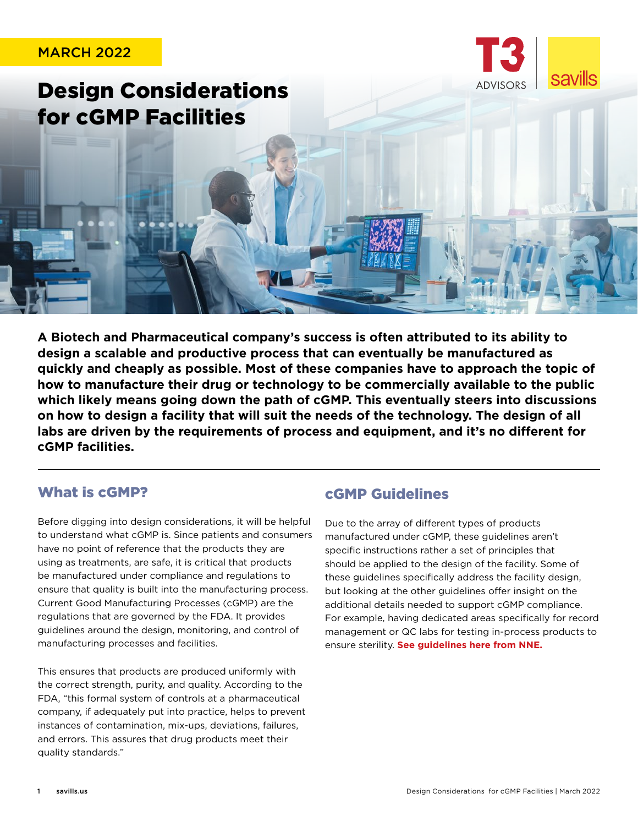# MARCH 2022 **savills** Design Considerations for cGMP Facilities

**A Biotech and Pharmaceutical company's success is often attributed to its ability to design a scalable and productive process that can eventually be manufactured as quickly and cheaply as possible. Most of these companies have to approach the topic of how to manufacture their drug or technology to be commercially available to the public which likely means going down the path of cGMP. This eventually steers into discussions on how to design a facility that will suit the needs of the technology. The design of all labs are driven by the requirements of process and equipment, and it's no different for cGMP facilities.** 

# What is cGMP?

Before digging into design considerations, it will be helpful to understand what cGMP is. Since patients and consumers have no point of reference that the products they are using as treatments, are safe, it is critical that products be manufactured under compliance and regulations to ensure that quality is built into the manufacturing process. Current Good Manufacturing Processes (cGMP) are the regulations that are governed by the FDA. It provides guidelines around the design, monitoring, and control of manufacturing processes and facilities.

This ensures that products are produced uniformly with the correct strength, purity, and quality. According to the FDA, "this formal system of controls at a pharmaceutical company, if adequately put into practice, helps to prevent instances of contamination, mix-ups, deviations, failures, and errors. This assures that drug products meet their quality standards."

# cGMP Guidelines

Due to the array of different types of products manufactured under cGMP, these guidelines aren't specific instructions rather a set of principles that should be applied to the design of the facility. Some of these guidelines specifically address the facility design, but looking at the other guidelines offer insight on the additional details needed to support cGMP compliance. For example, having dedicated areas specifically for record management or QC labs for testing in-process products to ensure sterility. **[See guidelines here from NNE.](https://www.nne.com/services/good-manufacturing-practice/)**